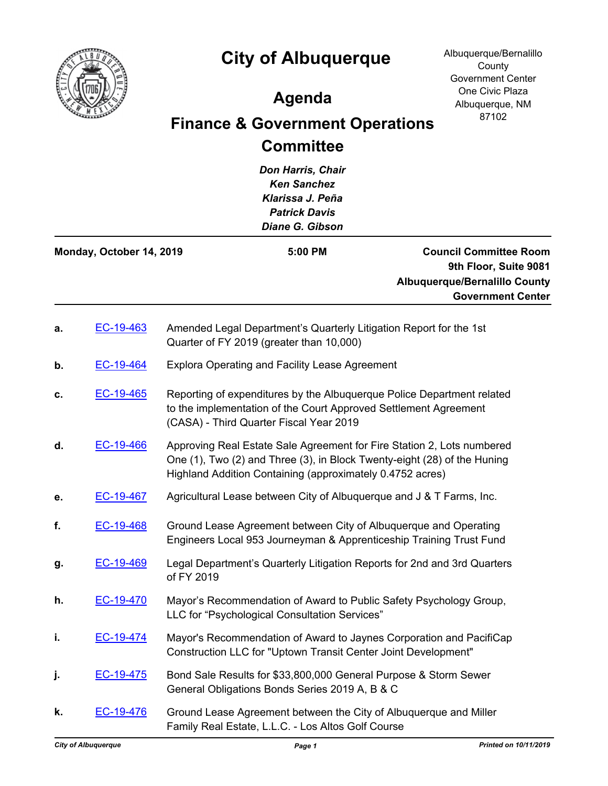

## **City of Albuquerque**

Albuquerque/Bernalillo **County** Government Center One Civic Plaza Albuquerque, NM 87102

## **Agenda**

## **Finance & Government Operations Committee**

*Don Harris, Chair Ken Sanchez Klarissa J. Peña Patrick Davis Diane G. Gibson*

| Monday, October 14, 2019 | $5:00$ PM | <b>Council Committee Room</b>        |
|--------------------------|-----------|--------------------------------------|
|                          |           | 9th Floor, Suite 9081                |
|                          |           | <b>Albuquerque/Bernalillo County</b> |
|                          |           | <b>Government Center</b>             |

| a. | EC-19-463 | Amended Legal Department's Quarterly Litigation Report for the 1st<br>Quarter of FY 2019 (greater than 10,000)                                                                                                  |
|----|-----------|-----------------------------------------------------------------------------------------------------------------------------------------------------------------------------------------------------------------|
| b. | EC-19-464 | <b>Explora Operating and Facility Lease Agreement</b>                                                                                                                                                           |
| c. | EC-19-465 | Reporting of expenditures by the Albuquerque Police Department related<br>to the implementation of the Court Approved Settlement Agreement<br>(CASA) - Third Quarter Fiscal Year 2019                           |
| d. | EC-19-466 | Approving Real Estate Sale Agreement for Fire Station 2, Lots numbered<br>One (1), Two (2) and Three (3), in Block Twenty-eight (28) of the Huning<br>Highland Addition Containing (approximately 0.4752 acres) |
| е. | EC-19-467 | Agricultural Lease between City of Albuquerque and J & T Farms, Inc.                                                                                                                                            |
| f. | EC-19-468 | Ground Lease Agreement between City of Albuquerque and Operating<br>Engineers Local 953 Journeyman & Apprenticeship Training Trust Fund                                                                         |
| g. | EC-19-469 | Legal Department's Quarterly Litigation Reports for 2nd and 3rd Quarters<br>of FY 2019                                                                                                                          |
| h. | EC-19-470 | Mayor's Recommendation of Award to Public Safety Psychology Group,<br>LLC for "Psychological Consultation Services"                                                                                             |
| i. | EC-19-474 | Mayor's Recommendation of Award to Jaynes Corporation and PacifiCap<br>Construction LLC for "Uptown Transit Center Joint Development"                                                                           |
| j. | EC-19-475 | Bond Sale Results for \$33,800,000 General Purpose & Storm Sewer<br>General Obligations Bonds Series 2019 A, B & C                                                                                              |
| k. | EC-19-476 | Ground Lease Agreement between the City of Albuquerque and Miller<br>Family Real Estate, L.L.C. - Los Altos Golf Course                                                                                         |